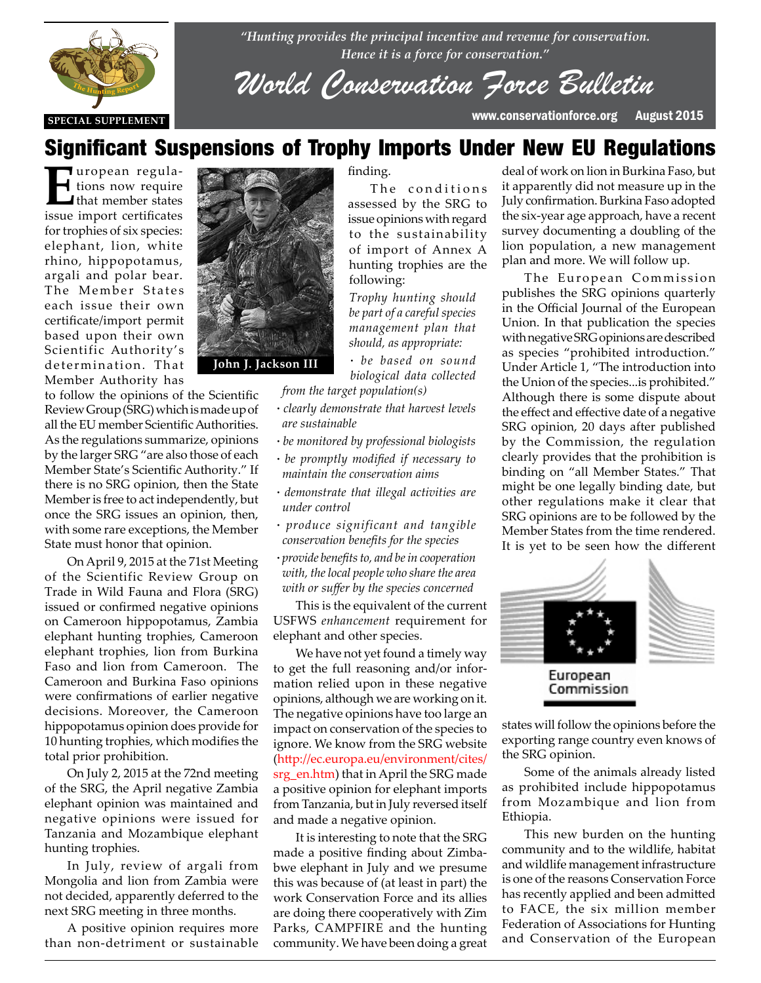

*"Hunting provides the principal incentive and revenue for conservation. Hence it is a force for conservation."*

*World Conservation Force Bulletin*

The conditions assessed by the SRG to issue opinions with regard to the sustainability of import of Annex A hunting trophies are the

*Trophy hunting should be part of a careful species management plan that should, as appropriate: ∙ be based on sound biological data collected* 

# Significant Suspensions of Trophy Imports Under New EU Regulations

finding.

**E**uropean regulations now require I that member states issue import certificates for trophies of six species: elephant, lion, white rhino, hippopotamus, argali and polar bear. The Member States each issue their own certificate/import permit based upon their own Scientific Authority's determination. That Member Authority has

to follow the opinions of the Scientific to follow the opinions of the scientific<br>Review Group (SRG) which is made up of all the EU member Scientific Authorities. As the regulations summarize, opinions by the larger SRG "are also those of each by the larger SRG "are also those of each<br>Member State's Scientific Authority." If there is no SRG opinion, then the State Member is free to act independently, but once the SRG issues an opinion, then, with some rare exceptions, the Member State must honor that opinion.

> On April 9, 2015 at the 71st Meeting of the Scientific Review Group on Trade in Wild Fauna and Flora (SRG) issued or confirmed negative opinions on Cameroon hippopotamus, Zambia elephant hunting trophies, Cameroon elephant trophies, lion from Burkina Faso and lion from Cameroon. The Cameroon and Burkina Faso opinions were confirmations of earlier negative decisions. Moreover, the Cameroon hippopotamus opinion does provide for 10 hunting trophies, which modifies the total prior prohibition.

> On July 2, 2015 at the 72nd meeting of the SRG, the April negative Zambia elephant opinion was maintained and negative opinions were issued for Tanzania and Mozambique elephant hunting trophies.

> In July, review of argali from Mongolia and lion from Zambia were not decided, apparently deferred to the next SRG meeting in three months.

> A positive opinion requires more than non-detriment or sustainable



*from the target population(s) ∙ clearly demonstrate that harvest levels are sustainable*

following:

- *∙ be monitored by professional biologists*
- *∙ be promptly modified if necessary to maintain the conservation aims*
- *∙ demonstrate that illegal activities are under control*
- *∙ produce significant and tangible conservation benefits for the species*
- *∙ provide benefits to, and be in cooperation with, the local people who share the area with or suffer by the species concerned*

This is the equivalent of the current USFWS *enhancement* requirement for elephant and other species.

We have not yet found a timely way to get the full reasoning and/or information relied upon in these negative opinions, although we are working on it. The negative opinions have too large an impact on conservation of the species to ignore. We know from the SRG website (http://ec.europa.eu/environment/cites/ srg\_en.htm) that in April the SRG made a positive opinion for elephant imports from Tanzania, but in July reversed itself and made a negative opinion.

It is interesting to note that the SRG made a positive finding about Zimbabwe elephant in July and we presume this was because of (at least in part) the work Conservation Force and its allies are doing there cooperatively with Zim Parks, CAMPFIRE and the hunting community. We have been doing a great

deal of work on lion in Burkina Faso, but it apparently did not measure up in the July confirmation. Burkina Faso adopted the six-year age approach, have a recent survey documenting a doubling of the lion population, a new management plan and more. We will follow up.

The European Commission publishes the SRG opinions quarterly in the Official Journal of the European Union. In that publication the species with negative SRG opinions are described as species "prohibited introduction." Under Article 1, "The introduction into the Union of the species...is prohibited." Although there is some dispute about the effect and effective date of a negative SRG opinion, 20 days after published by the Commission, the regulation clearly provides that the prohibition is binding on "all Member States." That might be one legally binding date, but other regulations make it clear that SRG opinions are to be followed by the Member States from the time rendered. It is yet to be seen how the different



states will follow the opinions before the exporting range country even knows of the SRG opinion.

Some of the animals already listed as prohibited include hippopotamus from Mozambique and lion from Ethiopia.

This new burden on the hunting community and to the wildlife, habitat and wildlife management infrastructure is one of the reasons Conservation Force has recently applied and been admitted to FACE, the six million member Federation of Associations for Hunting and Conservation of the European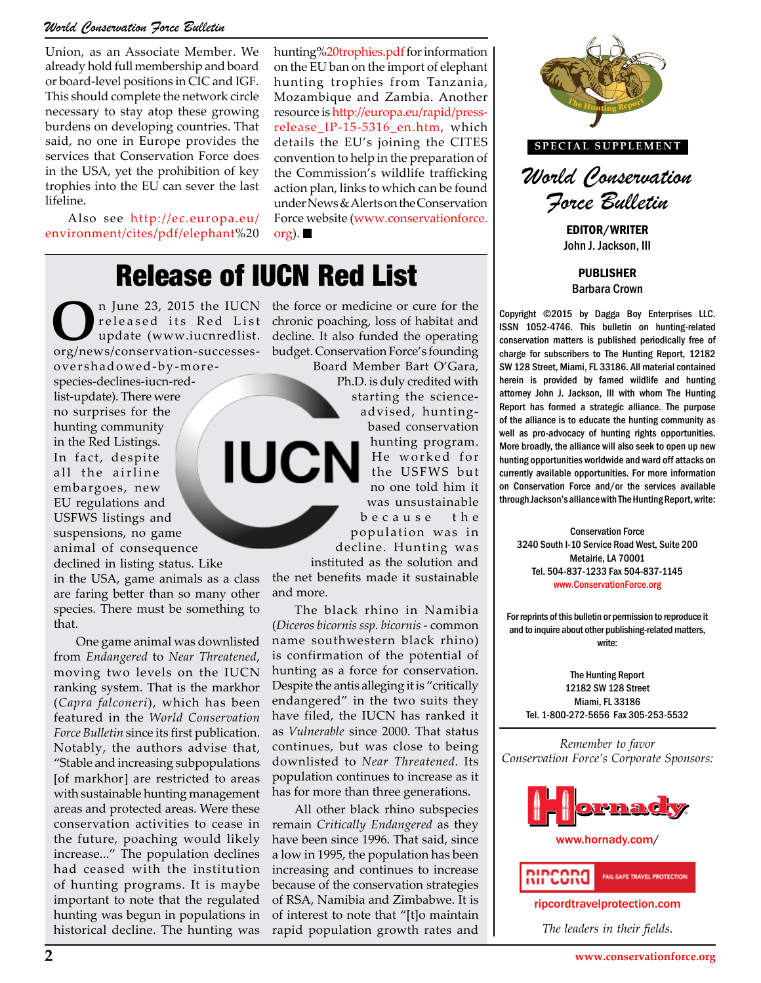### *World Conservation Force Bulletin*

Union, as an Associate Member. We already hold full membership and board or board-level positions in CIC and IGF. This should complete the network circle necessary to stay atop these growing burdens on developing countries. That said, no one in Europe provides the services that Conservation Force does in the USA, yet the prohibition of key trophies into the EU can sever the last lifeline.

Also see http://ec.europa.eu/ environment/cites/pdf/elephant%20 hunting%20trophies.pdf for information on the EU ban on the import of elephant hunting trophies from Tanzania, Mozambique and Zambia. Another resource is http://europa.eu/rapid/pressrelease\_IP-15-5316\_en.htm, which details the EU's joining the CITES convention to help in the preparation of the Commission's wildlife trafficking action plan, links to which can be found under News & Alerts on the Conservation Force website (www.conservationforce. org).  $\blacksquare$ 

# Release of IUCN Red List

**O**n June 23, 2015 the IUCN the force or medicine or cure for the released its Red List chronic poaching, loss of habitat and update (www.iucnredlist. decline. It also funded the operating org/pows/conservation successes b released its Red List update (www.iucnredlist. org/news/conservation-successes-

overshadowed-by-morespecies-declines-iucn-redlist-update). There were no surprises for the hunting community in the Red Listings. In fact, despite all the airline embargoes, new EU regulations and USFWS listings and suspensions, no game animal of consequence

declined in listing status. Like in the USA, game animals as a class are faring better than so many other species. There must be something to that.

One game animal was downlisted from *Endangered* to *Near Threatened*, moving two levels on the IUCN ranking system. That is the markhor (*Capra falconeri*), which has been featured in the *World Conservation Force Bulletin* since its first publication. Notably, the authors advise that, "Stable and increasing subpopulations [of markhor] are restricted to areas with sustainable hunting management areas and protected areas. Were these conservation activities to cease in the future, poaching would likely increase..." The population declines had ceased with the institution of hunting programs. It is maybe important to note that the regulated hunting was begun in populations in historical decline. The hunting was

chronic poaching, loss of habitat and decline. It also funded the operating budget. Conservation Force's founding

Board Member Bart O'Gara, Ph.D. is duly credited with starting the scienceadvised, huntingbased conservation hunting program. **IUCN** He worked for the USFWS but no one told him it was unsustainable b e c a u s e t h e

population was in decline. Hunting was instituted as the solution and

the net benefits made it sustainable and more.

The black rhino in Namibia (*Diceros bicornis ssp. bicornis* - common name southwestern black rhino) is confirmation of the potential of hunting as a force for conservation. Despite the antis alleging it is "critically endangered" in the two suits they have filed, the IUCN has ranked it as *Vulnerable* since 2000. That status continues, but was close to being downlisted to *Near Threatened.* Its population continues to increase as it has for more than three generations.

All other black rhino subspecies remain *Critically Endangered* as they have been since 1996. That said, since a low in 1995, the population has been increasing and continues to increase because of the conservation strategies of RSA, Namibia and Zimbabwe. It is of interest to note that "[t]o maintain rapid population growth rates and



**SPECIAL SUPPLEMENT**



EDITOR/WRITER John J. Jackson, III

PUBLISHER Barbara Crown

Copyright ©2015 by Dagga Boy Enterprises LLC. ISSN 1052-4746. This bulletin on hunting-related conservation matters is published periodically free of charge for subscribers to The Hunting Report, 12182 SW 128 Street, Miami, FL 33186. All material contained herein is provided by famed wildlife and hunting attorney John J. Jackson, III with whom The Hunting Report has formed a strategic alliance. The purpose of the alliance is to educate the hunting community as well as pro-advocacy of hunting rights opportunities. More broadly, the alliance will also seek to open up new hunting opportunities worldwide and ward off attacks on currently available opportunities. For more information on Conservation Force and/or the services available through Jackson's alliance with The Hunting Report, write: The USFWS but<br>The USFWS but currently available opportunities. For more information<br>The fold him it on Conservation Force and/or the services available

Conservation Force alation was in **Conservation Force**<br>Funting was 3240 South I-10 Service Road West, Suite 200 Metairie, LA 70001 Tel. 504-837-1233 Fax 504-837-1145 www.ConservationForce.org

> For reprints of this bulletin or permission to reproduce it and to inquire about other publishing-related matters, write:

The Hunting Report 12182 SW 128 Street Miami, FL 33186 Tel. 1-800-272-5656 Fax 305-253-5532

*Remember to favor Conservation Force's Corporate Sponsors:*



www.hornady.com/



ripcordtravelprotection.com

*The leaders in their fields.*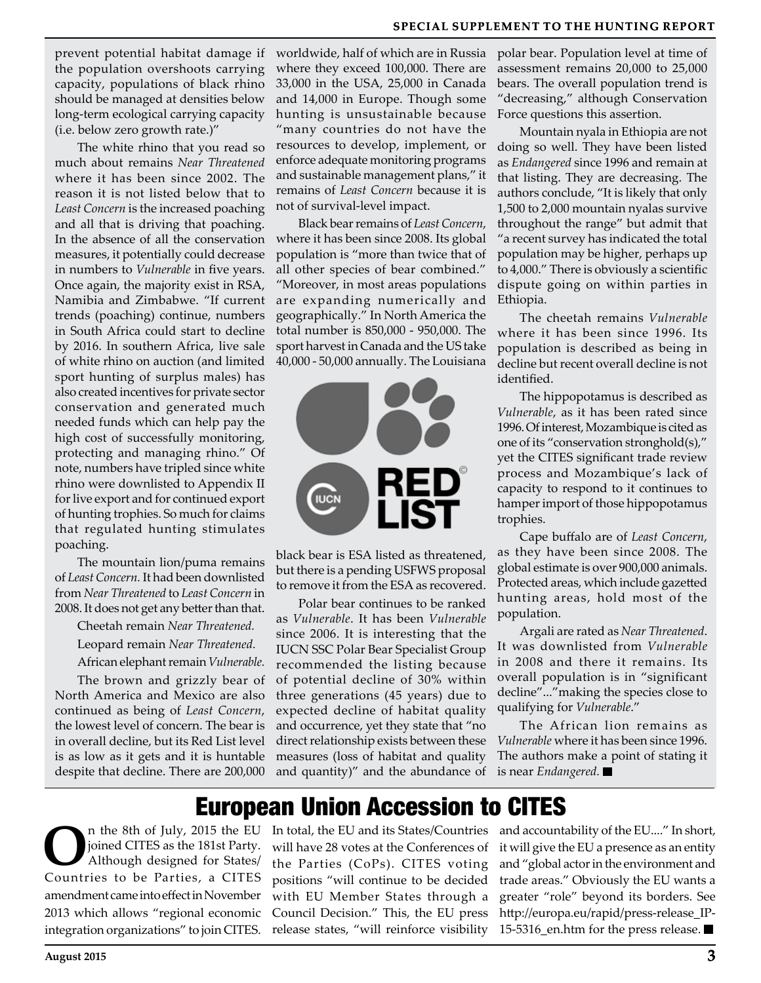prevent potential habitat damage if the population overshoots carrying capacity, populations of black rhino should be managed at densities below long-term ecological carrying capacity (i.e. below zero growth rate.)"

The white rhino that you read so much about remains *Near Threatened* where it has been since 2002. The reason it is not listed below that to *Least Concern* is the increased poaching and all that is driving that poaching. In the absence of all the conservation measures, it potentially could decrease in numbers to *Vulnerable* in five years. Once again, the majority exist in RSA, Namibia and Zimbabwe. "If current trends (poaching) continue, numbers in South Africa could start to decline by 2016. In southern Africa, live sale of white rhino on auction (and limited sport hunting of surplus males) has also created incentives for private sector conservation and generated much needed funds which can help pay the high cost of successfully monitoring, protecting and managing rhino." Of note, numbers have tripled since white rhino were downlisted to Appendix II for live export and for continued export of hunting trophies. So much for claims that regulated hunting stimulates poaching.

The mountain lion/puma remains of *Least Concern.* It had been downlisted from *Near Threatened* to *Least Concern* in 2008. It does not get any better than that.

Cheetah remain *Near Threatened.* Leopard remain *Near Threatened.*

African elephant remain *Vulnerable.*

The brown and grizzly bear of North America and Mexico are also continued as being of *Least Concern*, the lowest level of concern. The bear is in overall decline, but its Red List level is as low as it gets and it is huntable despite that decline. There are 200,000

worldwide, half of which are in Russia where they exceed 100,000. There are 33,000 in the USA, 25,000 in Canada and 14,000 in Europe. Though some hunting is unsustainable because "many countries do not have the resources to develop, implement, or enforce adequate monitoring programs and sustainable management plans," it remains of *Least Concern* because it is not of survival-level impact.

Black bear remains of *Least Concern*, where it has been since 2008. Its global population is "more than twice that of all other species of bear combined." "Moreover, in most areas populations are expanding numerically and geographically." In North America the total number is 850,000 - 950,000. The sport harvest in Canada and the US take 40,000 - 50,000 annually. The Louisiana



black bear is ESA listed as threatened, but there is a pending USFWS proposal to remove it from the ESA as recovered.

Polar bear continues to be ranked as *Vulnerable*. It has been *Vulnerable* since 2006. It is interesting that the IUCN SSC Polar Bear Specialist Group recommended the listing because of potential decline of 30% within three generations (45 years) due to expected decline of habitat quality and occurrence, yet they state that "no direct relationship exists between these measures (loss of habitat and quality and quantity)" and the abundance of polar bear. Population level at time of assessment remains 20,000 to 25,000 bears. The overall population trend is "decreasing," although Conservation Force questions this assertion.

Mountain nyala in Ethiopia are not doing so well. They have been listed as *Endangered* since 1996 and remain at that listing. They are decreasing. The authors conclude, "It is likely that only 1,500 to 2,000 mountain nyalas survive throughout the range" but admit that "a recent survey has indicated the total population may be higher, perhaps up to 4,000." There is obviously a scientific dispute going on within parties in Ethiopia.

The cheetah remains *Vulnerable* where it has been since 1996. Its population is described as being in decline but recent overall decline is not identified.

The hippopotamus is described as *Vulnerable*, as it has been rated since 1996. Of interest, Mozambique is cited as one of its "conservation stronghold(s)," yet the CITES significant trade review process and Mozambique's lack of capacity to respond to it continues to hamper import of those hippopotamus trophies.

Cape buffalo are of *Least Concern*, as they have been since 2008. The global estimate is over 900,000 animals. Protected areas, which include gazetted hunting areas, hold most of the population.

Argali are rated as *Near Threatened*. It was downlisted from *Vulnerable* in 2008 and there it remains. Its overall population is in "significant decline"..."making the species close to qualifying for *Vulnerable*."

The African lion remains as *Vulnerable* where it has been since 1996. The authors make a point of stating it is near *Endangered.* 

## European Union Accession to CITES

**O**n the 8th of July, 2015 the EU joined CITES as the 181st Party.<br>Although designed for States/ joined CITES as the 181st Party. Although designed for States/ Countries to be Parties, a CITES amendment came into effect in November 2013 which allows "regional economic integration organizations" to join CITES.

In total, the EU and its States/Countries will have 28 votes at the Conferences of the Parties (CoPs). CITES voting positions "will continue to be decided with EU Member States through a Council Decision." This, the EU press release states, "will reinforce visibility

and accountability of the EU...." In short, it will give the EU a presence as an entity and "global actor in the environment and trade areas." Obviously the EU wants a greater "role" beyond its borders. See http://europa.eu/rapid/press-release\_IP-15-5316 en.htm for the press release.